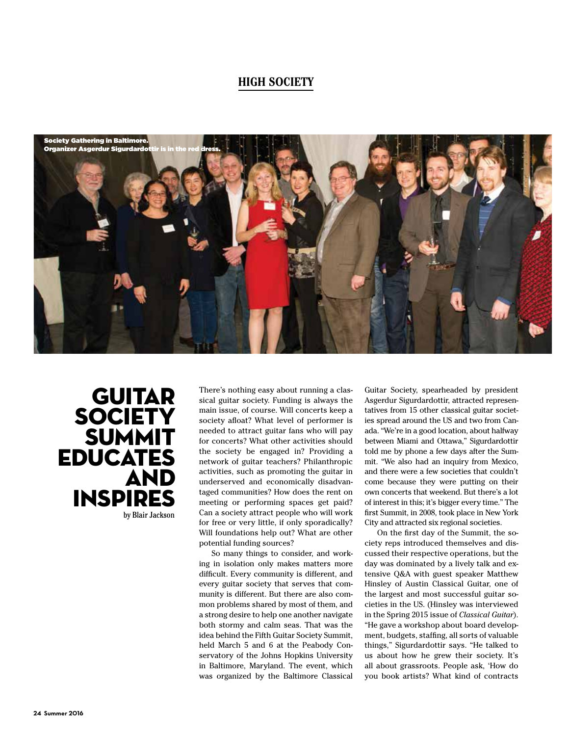## **HIGH SOCIETY**



**GUITAR SOCIETY** SUMMIT EDUCATES AND INSPIRES by Blair Jackson There's nothing easy about running a classical guitar society. Funding is always the main issue, of course. Will concerts keep a society afloat? What level of performer is needed to attract guitar fans who will pay for concerts? What other activities should the society be engaged in? Providing a network of guitar teachers? Philanthropic activities, such as promoting the guitar in underserved and economically disadvantaged communities? How does the rent on meeting or performing spaces get paid? Can a society attract people who will work for free or very little, if only sporadically? Will foundations help out? What are other potential funding sources?

So many things to consider, and working in isolation only makes matters more diffcult. Every community is different, and every guitar society that serves that community is different. But there are also common problems shared by most of them, and a strong desire to help one another navigate both stormy and calm seas. That was the idea behind the Fifth Guitar Society Summit, held March 5 and 6 at the Peabody Conservatory of the Johns Hopkins University in Baltimore, Maryland. The event, which was organized by the Baltimore Classical

Guitar Society, spearheaded by president Asgerdur Sigurdardottir, attracted representatives from 15 other classical guitar societies spread around the US and two from Canada. "We're in a good location, about halfway between Miami and Ottawa," Sigurdardottir told me by phone a few days after the Summit. "We also had an inquiry from Mexico, and there were a few societies that couldn't come because they were putting on their own concerts that weekend. But there's a lot of interest in this; it's bigger every time." The frst Summit, in 2008, took place in New York City and attracted six regional societies.

On the frst day of the Summit, the society reps introduced themselves and discussed their respective operations, but the day was dominated by a lively talk and extensive Q&A with guest speaker Matthew Hinsley of Austin Classical Guitar, one of the largest and most successful guitar societies in the US. (Hinsley was interviewed in the Spring 2015 issue of *Classical Guitar*). "He gave a workshop about board development, budgets, staffng, all sorts of valuable things," Sigurdardottir says. "He talked to us about how he grew their society. It's all about grassroots. People ask, 'How do you book artists? What kind of contracts